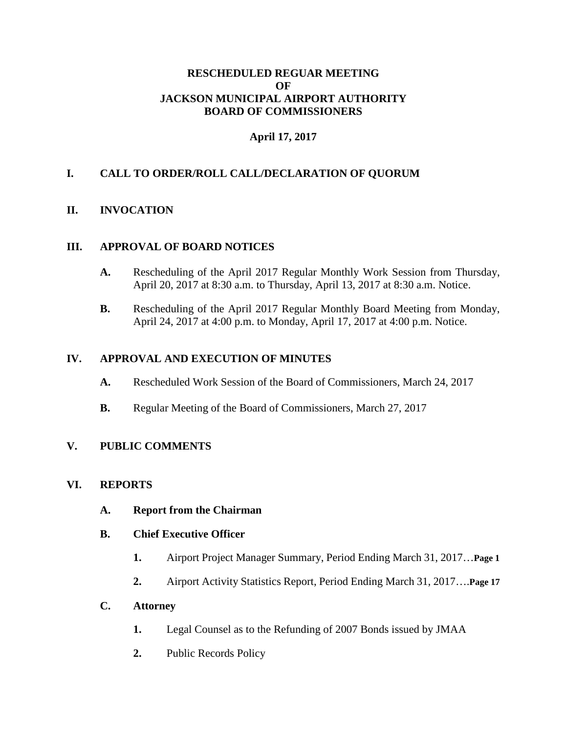## **RESCHEDULED REGUAR MEETING OF JACKSON MUNICIPAL AIRPORT AUTHORITY BOARD OF COMMISSIONERS**

# **April 17, 2017**

# **I. CALL TO ORDER/ROLL CALL/DECLARATION OF QUORUM**

### **II. INVOCATION**

### **III. APPROVAL OF BOARD NOTICES**

- **A.** Rescheduling of the April 2017 Regular Monthly Work Session from Thursday, April 20, 2017 at 8:30 a.m. to Thursday, April 13, 2017 at 8:30 a.m. Notice.
- **B.** Rescheduling of the April 2017 Regular Monthly Board Meeting from Monday, April 24, 2017 at 4:00 p.m. to Monday, April 17, 2017 at 4:00 p.m. Notice.

#### **IV. APPROVAL AND EXECUTION OF MINUTES**

- **A.** Rescheduled Work Session of the Board of Commissioners, March 24, 2017
- **B.** Regular Meeting of the Board of Commissioners, March 27, 2017

### **V. PUBLIC COMMENTS**

#### **VI. REPORTS**

- **A. Report from the Chairman**
- **B. Chief Executive Officer**
	- **1.** Airport Project Manager Summary, Period Ending March 31, 2017…**Page 1**
	- **2.** Airport Activity Statistics Report, Period Ending March 31, 2017….**Page 17**

### **C. Attorney**

- **1.** Legal Counsel as to the Refunding of 2007 Bonds issued by JMAA
- **2.** Public Records Policy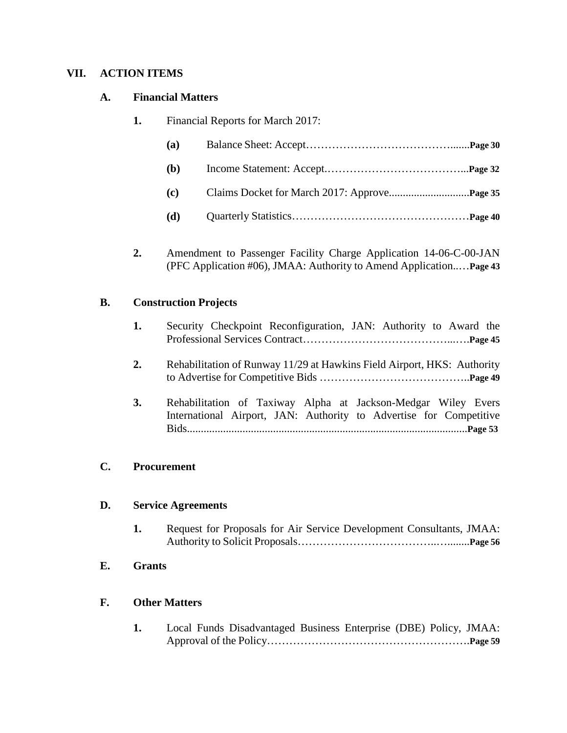## **VII. ACTION ITEMS**

### **A. Financial Matters**

**1.** Financial Reports for March 2017:

**2.** Amendment to Passenger Facility Charge Application 14-06-C-00-JAN (PFC Application #06), JMAA: Authority to Amend Application..…**Page 43**

## **B. Construction Projects**

|  | Security Checkpoint Reconfiguration, JAN: Authority to Award the |  |  |  |
|--|------------------------------------------------------------------|--|--|--|
|  |                                                                  |  |  |  |

- **2.** Rehabilitation of Runway 11/29 at Hawkins Field Airport, HKS: Authority to Advertise for Competitive Bids …………………………………..**Page 49**
- **3.** Rehabilitation of Taxiway Alpha at Jackson-Medgar Wiley Evers International Airport, JAN: Authority to Advertise for Competitive Bids.....................................................................................................**Page 53**

### **C. Procurement**

### **D. Service Agreements**

- **1.** Request for Proposals for Air Service Development Consultants, JMAA: Authority to Solicit Proposals………………………………..…........**Page 56**
- **E. Grants**

## **F. Other Matters**

**1.** Local Funds Disadvantaged Business Enterprise (DBE) Policy, JMAA: Approval of the Policy……………………………………………….**Page 59**